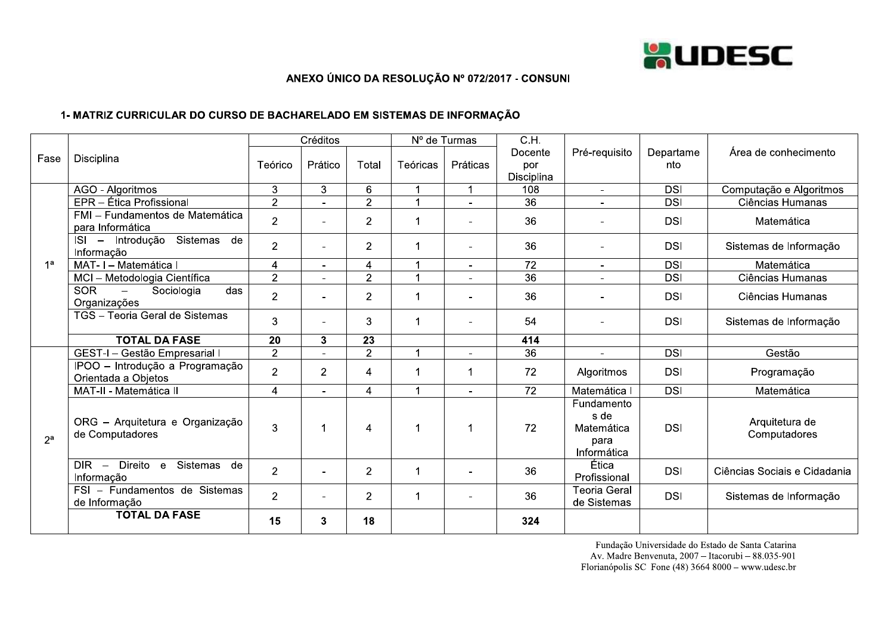

## ANEXO ÚNICO DA RESOLUÇÃO Nº 072/2017 - CONSUNI

## 1- MATRIZ CURRICULAR DO CURSO DE BACHARELADO EM SISTEMAS DE INFORMAÇÃO

|                | Disciplina                                                                    | Créditos       |                          |                | Nº de Turmas             |                | $\overline{CH}$ |                                                         |            |                                |
|----------------|-------------------------------------------------------------------------------|----------------|--------------------------|----------------|--------------------------|----------------|-----------------|---------------------------------------------------------|------------|--------------------------------|
| Fase           |                                                                               |                |                          |                |                          |                | Docente         | Pré-requisito                                           | Departame  | Área de conhecimento           |
|                |                                                                               | Teórico        | Prático                  | Total          | Teóricas                 | Práticas       | por             |                                                         | nto        |                                |
|                |                                                                               |                |                          |                |                          |                | Disciplina      |                                                         |            |                                |
|                | AGO - Algoritmos                                                              | 3              | 3                        | 6              | 1                        | $\mathbf 1$    | 108             | $\blacksquare$                                          | <b>DSI</b> | Computação e Algoritmos        |
|                | EPR - Ética Profissional                                                      | $\overline{2}$ |                          | $\overline{2}$ |                          |                | 36              |                                                         | <b>DSI</b> | Ciências Humanas               |
|                | FMI - Fundamentos de Matemática<br>para Informática                           | $\overline{2}$ |                          | $\overline{2}$ | 1                        | $\blacksquare$ | 36              |                                                         | <b>DSI</b> | Matemática                     |
|                | Sistemas<br>ISI - Introdução<br>de<br>Informação                              | $\overline{2}$ |                          | $\overline{2}$ | 1                        |                | 36              | $\blacksquare$                                          | <b>DSI</b> | Sistemas de Informação         |
| 1 <sup>a</sup> | MAT- I - Matemática I                                                         | $\overline{4}$ | $\overline{\phantom{a}}$ | 4              |                          | $\blacksquare$ | $\overline{72}$ | $\blacksquare$                                          | <b>DSI</b> | Matemática                     |
|                | MCI - Metodologia Científica                                                  | $\overline{2}$ |                          | $\overline{2}$ | 4                        |                | $\overline{36}$ |                                                         | <b>DSI</b> | Ciências Humanas               |
|                | <b>SOR</b><br>Sociologia<br>das<br>$\overline{\phantom{m}}$<br>Organizações   | $\overline{2}$ |                          | $\overline{2}$ | 1                        |                | 36              |                                                         | <b>DSI</b> | Ciências Humanas               |
|                | TGS - Teoria Geral de Sistemas                                                | 3              | $\blacksquare$           | 3              | 1                        |                | 54              |                                                         | <b>DSI</b> | Sistemas de Informação         |
|                | <b>TOTAL DA FASE</b>                                                          | 20             | $\mathbf{3}$             | 23             |                          |                | 414             |                                                         |            |                                |
|                | GEST-I - Gestão Empresarial I                                                 | $\overline{2}$ |                          | $\overline{2}$ |                          |                | 36              | $\blacksquare$                                          | <b>DSI</b> | Gestão                         |
|                | IPOO - Introdução a Programação<br>Orientada a Objetos                        | $\overline{2}$ | $\overline{2}$           | 4              | 1                        | 1              | 72              | Algoritmos                                              | <b>DSI</b> | Programação                    |
|                | MAT-II - Matemática II                                                        | 4              | $\blacksquare$           | $\overline{4}$ |                          | $\sim$         | 72              | Matemática                                              | <b>DSI</b> | Matemática                     |
| $2^a$          | ORG - Arquitetura e Organização<br>de Computadores                            | 3              | 1                        | 4              |                          | 1              | 72              | Fundamento<br>s de<br>Matemática<br>para<br>Informática | <b>DSI</b> | Arquitetura de<br>Computadores |
|                | Direito e<br>Sistemas<br>DIR.<br>de<br>$\overline{\phantom{a}}$<br>Informação | $\overline{2}$ | $\blacksquare$           | $\overline{2}$ | 1                        |                | 36              | Ética<br>Profissional                                   | <b>DSI</b> | Ciências Sociais e Cidadania   |
|                | FSI - Fundamentos de Sistemas<br>de Informação                                | $\overline{2}$ |                          | $\overline{2}$ | $\overline{\phantom{a}}$ |                | 36              | <b>Teoria Geral</b><br>de Sistemas                      | <b>DSI</b> | Sistemas de Informação         |
|                | <b>TOTAL DA FASE</b>                                                          | 15             | 3                        | 18             |                          |                | 324             |                                                         |            |                                |

Fundação Universidade do Estado de Santa Catarina Av. Madre Benvenuta, 2007 - Itacorubi - 88.035-901 Florianópolis SC Fone (48) 3664 8000 – www.udesc.br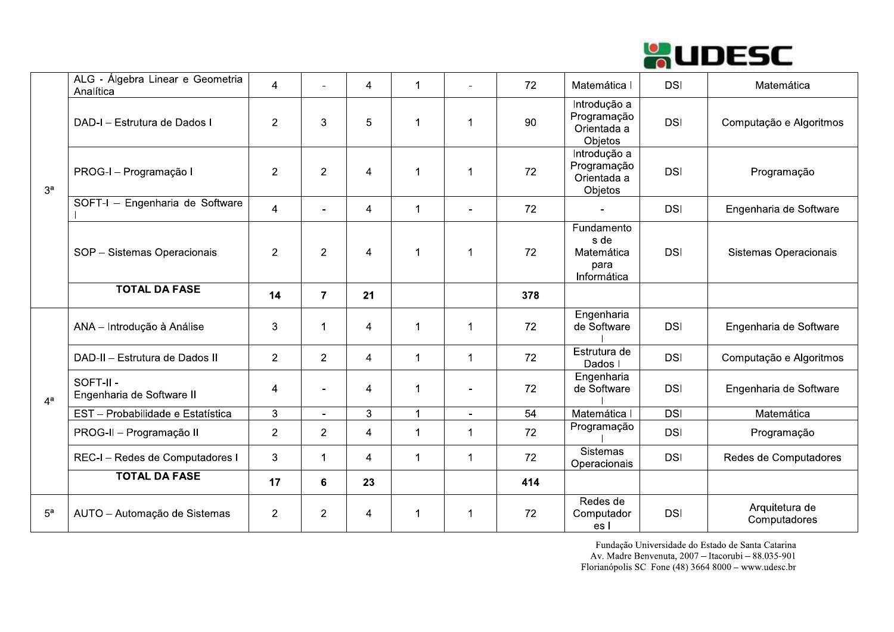

| 3 <sup>a</sup> | ALG - Álgebra Linear e Geometria<br>Analítica | $\overline{4}$ |                | 4                        | $\overline{1}$       |                              | 72              | Matemática I                                            | <b>DSI</b> | Matemática                     |
|----------------|-----------------------------------------------|----------------|----------------|--------------------------|----------------------|------------------------------|-----------------|---------------------------------------------------------|------------|--------------------------------|
|                | DAD-I - Estrutura de Dados I                  | $\overline{2}$ | 3              | 5                        | $\overline{1}$       | -1                           | 90              | Introdução a<br>Programação<br>Orientada a<br>Objetos   | <b>DSI</b> | Computação e Algoritmos        |
|                | PROG-I - Programação I                        | $\overline{2}$ | $\overline{2}$ | $\overline{4}$           | $\blacktriangleleft$ | $\overline{1}$               | 72              | Introdução a<br>Programação<br>Orientada a<br>Objetos   | <b>DSI</b> | Programação                    |
|                | SOFT-I - Engenharia de Software               | $\overline{4}$ |                | $\overline{4}$           | $\overline{1}$       | $\overline{a}$               | 72              |                                                         | <b>DSI</b> | Engenharia de Software         |
|                | SOP - Sistemas Operacionais                   | $\overline{2}$ | $\overline{2}$ | $\overline{\mathcal{A}}$ | $\overline{1}$       | $\overline{1}$               | 72              | Fundamento<br>s de<br>Matemática<br>para<br>Informática | <b>DSI</b> | Sistemas Operacionais          |
|                | <b>TOTAL DA FASE</b>                          | 14             | $\overline{7}$ | 21                       |                      |                              | 378             |                                                         |            |                                |
|                | ANA - Introdução à Análise                    | 3              | $\mathbf 1$    | $\overline{4}$           | $\mathbf 1$          | $\overline{1}$               | 72              | Engenharia<br>de Software                               | <b>DSI</b> | Engenharia de Software         |
|                | DAD-II - Estrutura de Dados II                | $\overline{2}$ | $\overline{2}$ | 4                        | $\overline{1}$       | -1                           | 72              | Estrutura de<br>Dados I                                 | <b>DSI</b> | Computação e Algoritmos        |
| $4^a$          | SOFT-II-<br>Engenharia de Software II         | $\overline{4}$ | $\overline{a}$ | 4                        | $\overline{1}$       | $\qquad \qquad \blacksquare$ | 72              | Engenharia<br>de Software                               | <b>DSI</b> | Engenharia de Software         |
|                | EST - Probabilidade e Estatística             | 3              | $\overline{a}$ | 3                        | $\overline{1}$       | $\blacksquare$               | $\overline{54}$ | Matemática I                                            | DSI        | Matemática                     |
|                | PROG-II - Programação II                      | $\overline{2}$ | $\overline{2}$ | 4                        | $\mathbf 1$          | -1                           | 72              | Programação                                             | <b>DSI</b> | Programação                    |
|                | REC-I - Redes de Computadores I               | $\mathbf{3}$   | $\mathbf{1}$   | 4                        | $\mathbf 1$          | -1                           | 72              | <b>Sistemas</b><br>Operacionais                         | <b>DSI</b> | Redes de Computadores          |
|                | <b>TOTAL DA FASE</b>                          | 17             | $6\phantom{a}$ | 23                       |                      |                              | 414             |                                                         |            |                                |
| 5 <sup>a</sup> | AUTO - Automação de Sistemas                  | $\overline{2}$ | $\overline{2}$ | 4                        | $\blacktriangleleft$ | $\overline{1}$               | 72              | Redes de<br>Computador<br>es l                          | <b>DSI</b> | Arquitetura de<br>Computadores |

Fundação Universidade do Estado de Santa Catarina Av. Madre Benvenuta, 2007 - Itacorubi - 88.035-901 Florianópolis SC Fone (48) 3664 8000 - www.udesc.br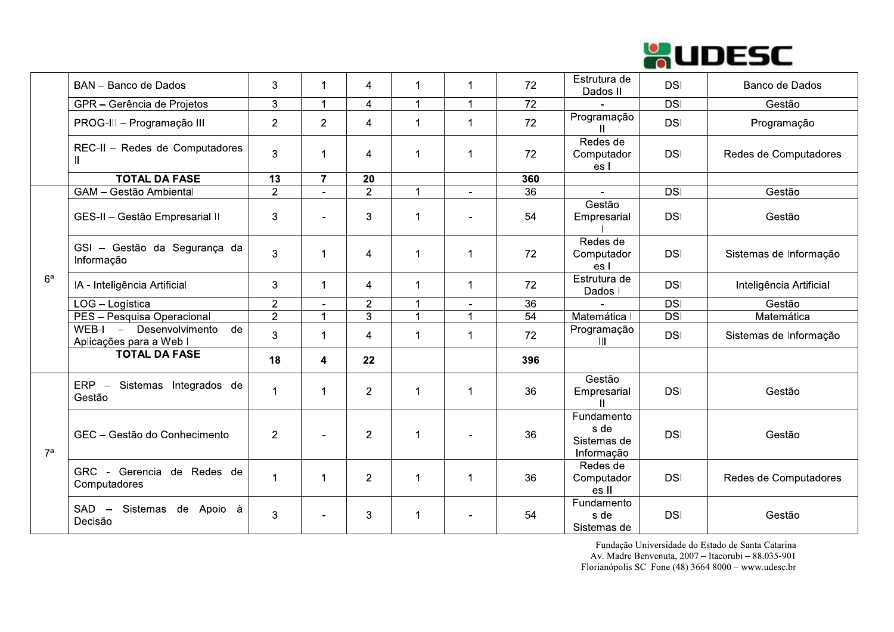

|                | BAN - Banco de Dados                                        | 3              | $\mathbf 1$          | 4              | $\mathbf 1$          | 1              | 72              | Estrutura de<br>Dados II                        | <b>DSI</b> | Banco de Dados          |
|----------------|-------------------------------------------------------------|----------------|----------------------|----------------|----------------------|----------------|-----------------|-------------------------------------------------|------------|-------------------------|
|                | GPR - Gerência de Projetos                                  | 3              | $\blacktriangleleft$ | 4              | $\blacktriangleleft$ | 1              | 72              |                                                 | <b>DSI</b> | Gestão                  |
|                | PROG-III - Programação III                                  | $\overline{2}$ | $\overline{2}$       | 4              | $\mathbf 1$          | 1              | 72              | Programação                                     | <b>DSI</b> | Programação             |
|                | REC-II - Redes de Computadores<br>$\mathbf{H}$              | 3              |                      | 4              | 1                    | 1              | 72              | Redes de<br>Computador<br>es l                  | <b>DSI</b> | Redes de Computadores   |
|                | <b>TOTAL DA FASE</b>                                        | 13             | $\overline{7}$       | 20             |                      |                | 360             |                                                 |            |                         |
|                | GAM - Gestão Ambiental                                      | $\overline{2}$ | $\blacksquare$       | $\overline{2}$ | $\mathbf{1}$         | $\blacksquare$ | $\overline{36}$ | $\sim$                                          | <b>DSI</b> | Gestão                  |
| 6 <sup>a</sup> | GES-II - Gestão Empresarial II                              | 3              | $\blacksquare$       | 3              | 1                    |                | 54              | Gestão<br>Empresarial                           | <b>DSI</b> | Gestão                  |
|                | GSI - Gestão da Segurança da<br>Informação                  | 3              | 1                    | 4              | 1                    | 1              | 72              | Redes de<br>Computador<br>es l                  | <b>DSI</b> | Sistemas de Informação  |
|                | IA - Inteligência Artificial                                | 3              | $\mathbf 1$          | 4              | $\mathbf 1$          | $\mathbf 1$    | 72              | Estrutura de<br>Dados I                         | <b>DSI</b> | Inteligência Artificial |
|                | LOG - Logística                                             | $\overline{2}$ |                      | $\overline{2}$ | $\mathbf{1}$         |                | $\overline{36}$ |                                                 | DSI        | Gestão                  |
|                | PES - Pesquisa Operacional                                  | $\overline{2}$ | $\mathbf{1}$         | $\overline{3}$ | 1                    | 1              | 54              | Matemática I                                    | <b>DSI</b> | Matemática              |
|                | WEB-I<br>- Desenvolvimento<br>de<br>Aplicações para a Web I | 3              | $\blacktriangleleft$ | $\overline{4}$ | $\mathbf 1$          | 1              | 72              | Programação<br>Ш                                | <b>DSI</b> | Sistemas de Informação  |
|                | <b>TOTAL DA FASE</b>                                        | 18             | 4                    | 22             |                      |                | 396             |                                                 |            |                         |
| 7 <sup>a</sup> | ERP - Sistemas Integrados de<br>Gestão                      | $\mathbf 1$    | $\mathbf 1$          | $\overline{2}$ | $\mathbf 1$          | 1              | 36              | Gestão<br>Empresarial<br>$\mathbf{H}$           | <b>DSI</b> | Gestão                  |
|                | GEC - Gestão do Conhecimento                                | $\overline{2}$ |                      | $\overline{2}$ | $\mathbf 1$          |                | 36              | Fundamento<br>s de<br>Sistemas de<br>Informação | <b>DSI</b> | Gestão                  |
|                | GRC - Gerencia de Redes de<br>Computadores                  | $\mathbf{1}$   | -1                   | $\overline{2}$ | $\mathbf 1$          | 1              | 36              | Redes de<br>Computador<br>es II                 | <b>DSI</b> | Redes de Computadores   |
|                | Sistemas de Apoio à<br>$SAD -$<br>Decisão                   | 3              | ۰                    | 3              | 1                    |                | 54              | Fundamento<br>s de<br>Sistemas de               | <b>DSI</b> | Gestão                  |

Fundação Universidade do Estado de Santa Catarina Av. Madre Benvenuta, 2007 - Itacorubi - 88.035-901 Florianópolis SC Fone (48) 3664 8000 - www.udesc.br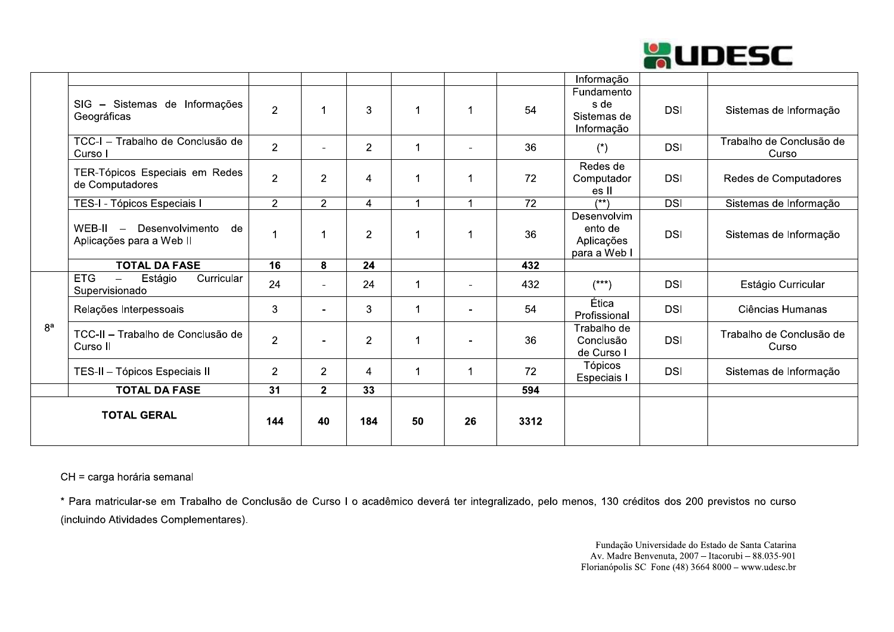

|                |                                                                                   |                 |                |                |                      |                |      | Informação                                           |            |                                   |
|----------------|-----------------------------------------------------------------------------------|-----------------|----------------|----------------|----------------------|----------------|------|------------------------------------------------------|------------|-----------------------------------|
|                | SIG - Sistemas de Informações<br>Geográficas                                      | $\overline{2}$  | 1              | 3              | $\blacktriangleleft$ |                | 54   | Fundamento<br>s de<br>Sistemas de<br>Informação      | <b>DSI</b> | Sistemas de Informação            |
|                | TCC-I - Trabalho de Conclusão de<br>Curso I                                       | $\overline{2}$  |                | $\overline{2}$ | $\mathbf 1$          | $\blacksquare$ | 36   | $(*)$                                                | <b>DSI</b> | Trabalho de Conclusão de<br>Curso |
|                | TER-Tópicos Especiais em Redes<br>de Computadores                                 | $\overline{2}$  | 2              | $\overline{4}$ | $\mathbf 1$          |                | 72   | Redes de<br>Computador<br>es II                      | <b>DSI</b> | Redes de Computadores             |
|                | TES-I - Tópicos Especiais I                                                       | 2               | $\overline{2}$ | $\overline{4}$ | $\blacktriangleleft$ | $\overline{A}$ | 72   | $(***)$                                              | <b>DSI</b> | Sistemas de Informação            |
|                | WEB-II - Desenvolvimento<br>de<br>Aplicações para a Web II                        |                 | 1              | $\overline{2}$ | 1                    |                | 36   | Desenvolvim<br>ento de<br>Aplicações<br>para a Web I | <b>DSI</b> | Sistemas de Informação            |
|                | <b>TOTAL DA FASE</b>                                                              | $\overline{16}$ | 8              | 24             |                      |                | 432  |                                                      |            |                                   |
|                | <b>ETG</b><br>Estágio<br>Curricular<br>$\overline{\phantom{m}}$<br>Supervisionado | 24              | $\overline{a}$ | 24             | $\blacktriangleleft$ | $\blacksquare$ | 432  | $(***)$                                              | <b>DSI</b> | Estágio Curricular                |
|                | Relações Interpessoais                                                            | 3               | $\sim$         | 3              | $\mathbf 1$          | $\blacksquare$ | 54   | Ética<br>Profissional                                | <b>DSI</b> | Ciências Humanas                  |
| 8 <sup>a</sup> | TCC-II - Trabalho de Conclusão de<br>Curso II                                     | $\overline{2}$  |                | $\overline{2}$ | $\mathbf 1$          | $\overline{a}$ | 36   | Trabalho de<br>Conclusão<br>de Curso I               | <b>DSI</b> | Trabalho de Conclusão de<br>Curso |
|                | TES-II - Tópicos Especiais II                                                     | $\overline{2}$  | $\overline{2}$ | $\overline{4}$ | $\mathbf 1$          |                | 72   | Tópicos<br>Especiais I                               | <b>DSI</b> | Sistemas de Informação            |
|                | <b>TOTAL DA FASE</b>                                                              | $\overline{31}$ | 2 <sup>1</sup> | 33             |                      |                | 594  |                                                      |            |                                   |
|                | <b>TOTAL GERAL</b>                                                                | 144             | 40             | 184            | 50                   | 26             | 3312 |                                                      |            |                                   |

CH = carga horária semanal

\* Para matricular-se em Trabalho de Conclusão de Curso I o acadêmico deverá ter integralizado, pelo menos, 130 créditos dos 200 previstos no curso (incluindo Atividades Complementares).

> Fundação Universidade do Estado de Santa Catarina Av. Madre Benvenuta, 2007 - Itacorubi - 88.035-901 Florianópolis SC Fone  $(48)$  3664 8000 – www.udesc.br